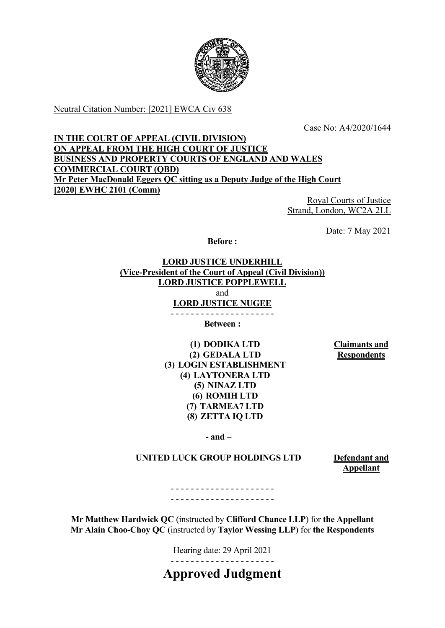

Neutral Citation Number: [2021] EWCA Civ 638

Case No: A4/2020/1644

### **IN THE COURT OF APPEAL (CIVIL DIVISION) ON APPEAL FROM THE HIGH COURT OF JUSTICE BUSINESS AND PROPERTY COURTS OF ENGLAND AND WALES COMMERCIAL COURT (QBD) Mr Peter MacDonald Eggers QC sitting as a Deputy Judge of the High Court [2020] EWHC 2101 (Comm)**

Royal Courts of Justice Strand, London, WC2A 2LL

Date: 7 May 2021

**Before :**

**LORD JUSTICE UNDERHILL (Vice-President of the Court of Appeal (Civil Division)) LORD JUSTICE POPPLEWELL** and **LORD JUSTICE NUGEE**

- - - - - - - - - - - - - - - - - - - - - **Between :**

**(1) DODIKA LTD (2) GEDALA LTD (3) LOGIN ESTABLISHMENT (4) LAYTONERA LTD (5) NINAZ LTD (6) ROMIH LTD (7) TARMEA7 LTD (8) ZETTA IQ LTD**

**Claimants and Respondents**

**- and –**

### **UNITED LUCK GROUP HOLDINGS LTD Defendant and**

**Appellant** 

- - - - - - - - - - - - - - - - - - - - - - - - - - - - - - - - - - - - - - - - - -

**Mr Matthew Hardwick QC** (instructed by **Clifford Chance LLP**) for **the Appellant Mr Alain Choo-Choy QC** (instructed by **Taylor Wessing LLP**) for **the Respondents**

> Hearing date: 29 April 2021 - - - - - - - - - - - - - - - - - - - - -

**Approved Judgment**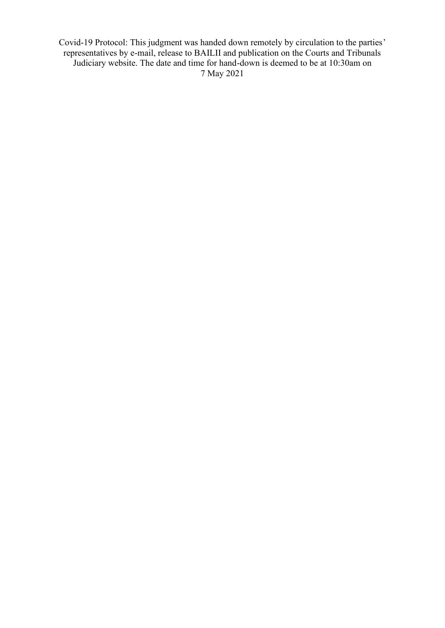Covid-19 Protocol: This judgment was handed down remotely by circulation to the parties' representatives by e-mail, release to BAILII and publication on the Courts and Tribunals Judiciary website. The date and time for hand-down is deemed to be at 10:30am on 7 May 2021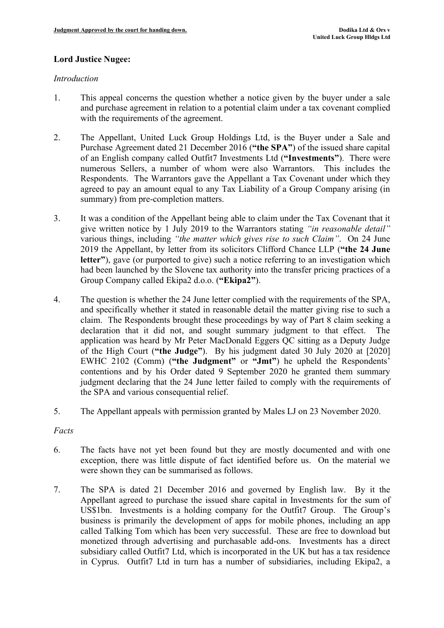## **Lord Justice Nugee:**

### *Introduction*

- 1. This appeal concerns the question whether a notice given by the buyer under a sale and purchase agreement in relation to a potential claim under a tax covenant complied with the requirements of the agreement.
- 2. The Appellant, United Luck Group Holdings Ltd, is the Buyer under a Sale and Purchase Agreement dated 21 December 2016 (**"the SPA"**) of the issued share capital of an English company called Outfit7 Investments Ltd (**"Investments"**). There were numerous Sellers, a number of whom were also Warrantors. This includes the Respondents. The Warrantors gave the Appellant a Tax Covenant under which they agreed to pay an amount equal to any Tax Liability of a Group Company arising (in summary) from pre-completion matters.
- 3. It was a condition of the Appellant being able to claim under the Tax Covenant that it give written notice by 1 July 2019 to the Warrantors stating *"in reasonable detail"* various things, including *"the matter which gives rise to such Claim"*. On 24 June 2019 the Appellant, by letter from its solicitors Clifford Chance LLP (**"the 24 June letter"**), gave (or purported to give) such a notice referring to an investigation which had been launched by the Slovene tax authority into the transfer pricing practices of a Group Company called Ekipa2 d.o.o. (**"Ekipa2"**).
- 4. The question is whether the 24 June letter complied with the requirements of the SPA, and specifically whether it stated in reasonable detail the matter giving rise to such a claim. The Respondents brought these proceedings by way of Part 8 claim seeking a declaration that it did not, and sought summary judgment to that effect. The application was heard by Mr Peter MacDonald Eggers QC sitting as a Deputy Judge of the High Court (**"the Judge"**). By his judgment dated 30 July 2020 at [2020] EWHC 2102 (Comm) (**"the Judgment"** or **"Jmt"**) he upheld the Respondents' contentions and by his Order dated 9 September 2020 he granted them summary judgment declaring that the 24 June letter failed to comply with the requirements of the SPA and various consequential relief.
- 5. The Appellant appeals with permission granted by Males LJ on 23 November 2020.

# *Facts*

- 6. The facts have not yet been found but they are mostly documented and with one exception, there was little dispute of fact identified before us. On the material we were shown they can be summarised as follows.
- 7. The SPA is dated 21 December 2016 and governed by English law. By it the Appellant agreed to purchase the issued share capital in Investments for the sum of US\$1bn. Investments is a holding company for the Outfit7 Group. The Group's business is primarily the development of apps for mobile phones, including an app called Talking Tom which has been very successful. These are free to download but monetized through advertising and purchasable add-ons. Investments has a direct subsidiary called Outfit7 Ltd, which is incorporated in the UK but has a tax residence in Cyprus. Outfit7 Ltd in turn has a number of subsidiaries, including Ekipa2, a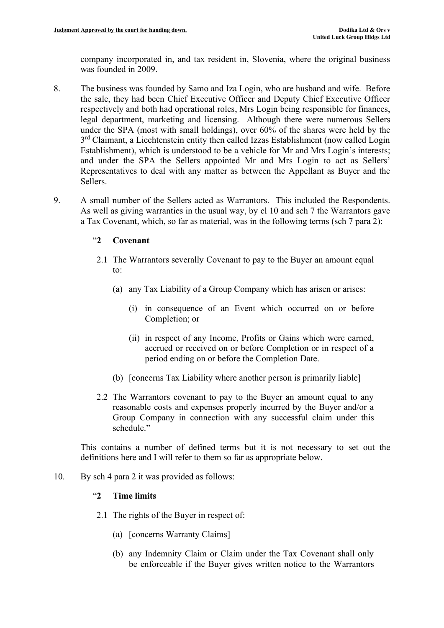company incorporated in, and tax resident in, Slovenia, where the original business was founded in 2009.

- 8. The business was founded by Samo and Iza Login, who are husband and wife. Before the sale, they had been Chief Executive Officer and Deputy Chief Executive Officer respectively and both had operational roles, Mrs Login being responsible for finances, legal department, marketing and licensing. Although there were numerous Sellers under the SPA (most with small holdings), over 60% of the shares were held by the 3<sup>rd</sup> Claimant, a Liechtenstein entity then called Izzas Establishment (now called Login Establishment), which is understood to be a vehicle for Mr and Mrs Login's interests; and under the SPA the Sellers appointed Mr and Mrs Login to act as Sellers' Representatives to deal with any matter as between the Appellant as Buyer and the Sellers.
- 9. A small number of the Sellers acted as Warrantors. This included the Respondents. As well as giving warranties in the usual way, by cl 10 and sch 7 the Warrantors gave a Tax Covenant, which, so far as material, was in the following terms (sch 7 para 2):

## "**2 Covenant**

- 2.1 The Warrantors severally Covenant to pay to the Buyer an amount equal to:
	- (a) any Tax Liability of a Group Company which has arisen or arises:
		- (i) in consequence of an Event which occurred on or before Completion; or
		- (ii) in respect of any Income, Profits or Gains which were earned, accrued or received on or before Completion or in respect of a period ending on or before the Completion Date.
	- (b) [concerns Tax Liability where another person is primarily liable]
- 2.2 The Warrantors covenant to pay to the Buyer an amount equal to any reasonable costs and expenses properly incurred by the Buyer and/or a Group Company in connection with any successful claim under this schedule."

This contains a number of defined terms but it is not necessary to set out the definitions here and I will refer to them so far as appropriate below.

10. By sch 4 para 2 it was provided as follows:

## "**2 Time limits**

- 2.1 The rights of the Buyer in respect of:
	- (a) [concerns Warranty Claims]
	- (b) any Indemnity Claim or Claim under the Tax Covenant shall only be enforceable if the Buyer gives written notice to the Warrantors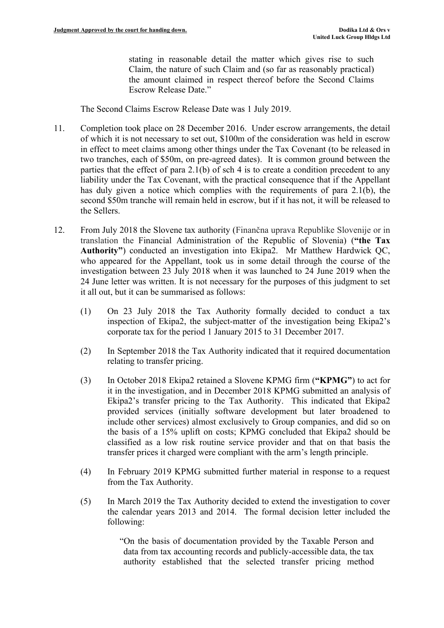stating in reasonable detail the matter which gives rise to such Claim, the nature of such Claim and (so far as reasonably practical) the amount claimed in respect thereof before the Second Claims Escrow Release Date."

The Second Claims Escrow Release Date was 1 July 2019.

- 11. Completion took place on 28 December 2016. Under escrow arrangements, the detail of which it is not necessary to set out, \$100m of the consideration was held in escrow in effect to meet claims among other things under the Tax Covenant (to be released in two tranches, each of \$50m, on pre-agreed dates). It is common ground between the parties that the effect of para 2.1(b) of sch 4 is to create a condition precedent to any liability under the Tax Covenant, with the practical consequence that if the Appellant has duly given a notice which complies with the requirements of para 2.1(b), the second \$50m tranche will remain held in escrow, but if it has not, it will be released to the Sellers.
- 12. From July 2018 the Slovene tax authority (Finančna uprava Republike Slovenije or in translation the Financial Administration of the Republic of Slovenia) (**"the Tax Authority"**) conducted an investigation into Ekipa2. Mr Matthew Hardwick QC, who appeared for the Appellant, took us in some detail through the course of the investigation between 23 July 2018 when it was launched to 24 June 2019 when the 24 June letter was written. It is not necessary for the purposes of this judgment to set it all out, but it can be summarised as follows:
	- (1) On 23 July 2018 the Tax Authority formally decided to conduct a tax inspection of Ekipa2, the subject-matter of the investigation being Ekipa2's corporate tax for the period 1 January 2015 to 31 December 2017.
	- (2) In September 2018 the Tax Authority indicated that it required documentation relating to transfer pricing.
	- (3) In October 2018 Ekipa2 retained a Slovene KPMG firm (**"KPMG"**) to act for it in the investigation, and in December 2018 KPMG submitted an analysis of Ekipa2's transfer pricing to the Tax Authority. This indicated that Ekipa2 provided services (initially software development but later broadened to include other services) almost exclusively to Group companies, and did so on the basis of a 15% uplift on costs; KPMG concluded that Ekipa2 should be classified as a low risk routine service provider and that on that basis the transfer prices it charged were compliant with the arm's length principle.
	- (4) In February 2019 KPMG submitted further material in response to a request from the Tax Authority.
	- (5) In March 2019 the Tax Authority decided to extend the investigation to cover the calendar years 2013 and 2014. The formal decision letter included the following:

"On the basis of documentation provided by the Taxable Person and data from tax accounting records and publicly-accessible data, the tax authority established that the selected transfer pricing method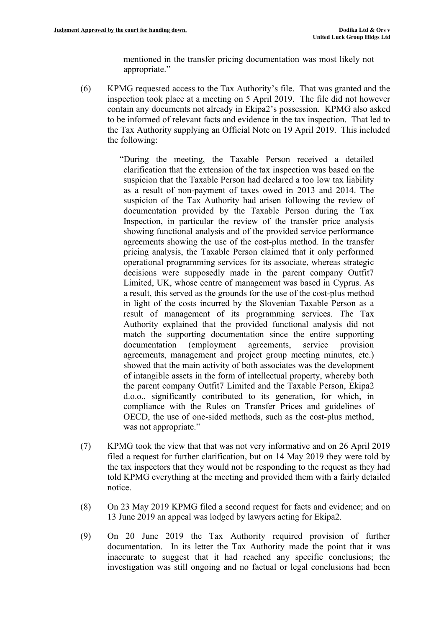mentioned in the transfer pricing documentation was most likely not appropriate."

- (6) KPMG requested access to the Tax Authority's file. That was granted and the inspection took place at a meeting on 5 April 2019. The file did not however contain any documents not already in Ekipa2's possession. KPMG also asked to be informed of relevant facts and evidence in the tax inspection. That led to the Tax Authority supplying an Official Note on 19 April 2019. This included the following:
	- "During the meeting, the Taxable Person received a detailed clarification that the extension of the tax inspection was based on the suspicion that the Taxable Person had declared a too low tax liability as a result of non-payment of taxes owed in 2013 and 2014. The suspicion of the Tax Authority had arisen following the review of documentation provided by the Taxable Person during the Tax Inspection, in particular the review of the transfer price analysis showing functional analysis and of the provided service performance agreements showing the use of the cost-plus method. In the transfer pricing analysis, the Taxable Person claimed that it only performed operational programming services for its associate, whereas strategic decisions were supposedly made in the parent company Outfit7 Limited, UK, whose centre of management was based in Cyprus. As a result, this served as the grounds for the use of the cost-plus method in light of the costs incurred by the Slovenian Taxable Person as a result of management of its programming services. The Tax Authority explained that the provided functional analysis did not match the supporting documentation since the entire supporting documentation (employment agreements, service provision agreements, management and project group meeting minutes, etc.) showed that the main activity of both associates was the development of intangible assets in the form of intellectual property, whereby both the parent company Outfit7 Limited and the Taxable Person, Ekipa2 d.o.o., significantly contributed to its generation, for which, in compliance with the Rules on Transfer Prices and guidelines of OECD, the use of one-sided methods, such as the cost-plus method, was not appropriate."
- (7) KPMG took the view that that was not very informative and on 26 April 2019 filed a request for further clarification, but on 14 May 2019 they were told by the tax inspectors that they would not be responding to the request as they had told KPMG everything at the meeting and provided them with a fairly detailed notice.
- (8) On 23 May 2019 KPMG filed a second request for facts and evidence; and on 13 June 2019 an appeal was lodged by lawyers acting for Ekipa2.
- (9) On 20 June 2019 the Tax Authority required provision of further documentation. In its letter the Tax Authority made the point that it was inaccurate to suggest that it had reached any specific conclusions; the investigation was still ongoing and no factual or legal conclusions had been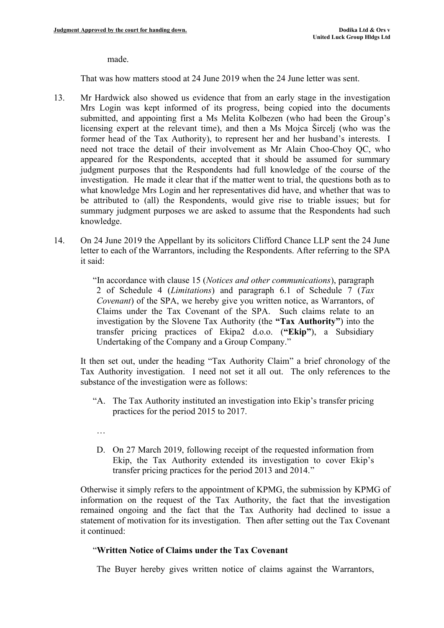#### made.

That was how matters stood at 24 June 2019 when the 24 June letter was sent.

- 13. Mr Hardwick also showed us evidence that from an early stage in the investigation Mrs Login was kept informed of its progress, being copied into the documents submitted, and appointing first a Ms Melita Kolbezen (who had been the Group's licensing expert at the relevant time), and then a Ms Mojca Šircelj (who was the former head of the Tax Authority), to represent her and her husband's interests. I need not trace the detail of their involvement as Mr Alain Choo-Choy QC, who appeared for the Respondents, accepted that it should be assumed for summary judgment purposes that the Respondents had full knowledge of the course of the investigation. He made it clear that if the matter went to trial, the questions both as to what knowledge Mrs Login and her representatives did have, and whether that was to be attributed to (all) the Respondents, would give rise to triable issues; but for summary judgment purposes we are asked to assume that the Respondents had such knowledge.
- 14. On 24 June 2019 the Appellant by its solicitors Clifford Chance LLP sent the 24 June letter to each of the Warrantors, including the Respondents. After referring to the SPA it said:

"In accordance with clause 15 (*Notices and other communications*), paragraph 2 of Schedule 4 (*Limitations*) and paragraph 6.1 of Schedule 7 (*Tax Covenant*) of the SPA, we hereby give you written notice, as Warrantors, of Claims under the Tax Covenant of the SPA. Such claims relate to an investigation by the Slovene Tax Authority (the **"Tax Authority"**) into the transfer pricing practices of Ekipa2 d.o.o. (**"Ekip"**), a Subsidiary Undertaking of the Company and a Group Company."

It then set out, under the heading "Tax Authority Claim" a brief chronology of the Tax Authority investigation. I need not set it all out. The only references to the substance of the investigation were as follows:

- "A. The Tax Authority instituted an investigation into Ekip's transfer pricing practices for the period 2015 to 2017.
- …
- D. On 27 March 2019, following receipt of the requested information from Ekip, the Tax Authority extended its investigation to cover Ekip's transfer pricing practices for the period 2013 and 2014."

Otherwise it simply refers to the appointment of KPMG, the submission by KPMG of information on the request of the Tax Authority, the fact that the investigation remained ongoing and the fact that the Tax Authority had declined to issue a statement of motivation for its investigation. Then after setting out the Tax Covenant it continued:

### "**Written Notice of Claims under the Tax Covenant**

The Buyer hereby gives written notice of claims against the Warrantors,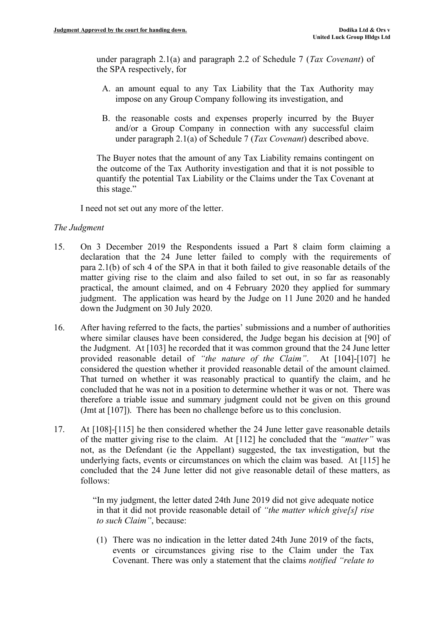under paragraph 2.1(a) and paragraph 2.2 of Schedule 7 (*Tax Covenant*) of the SPA respectively, for

- A. an amount equal to any Tax Liability that the Tax Authority may impose on any Group Company following its investigation, and
- B. the reasonable costs and expenses properly incurred by the Buyer and/or a Group Company in connection with any successful claim under paragraph 2.1(a) of Schedule 7 (*Tax Covenant*) described above.

The Buyer notes that the amount of any Tax Liability remains contingent on the outcome of the Tax Authority investigation and that it is not possible to quantify the potential Tax Liability or the Claims under the Tax Covenant at this stage."

I need not set out any more of the letter.

### *The Judgment*

- 15. On 3 December 2019 the Respondents issued a Part 8 claim form claiming a declaration that the 24 June letter failed to comply with the requirements of para 2.1(b) of sch 4 of the SPA in that it both failed to give reasonable details of the matter giving rise to the claim and also failed to set out, in so far as reasonably practical, the amount claimed, and on 4 February 2020 they applied for summary judgment. The application was heard by the Judge on 11 June 2020 and he handed down the Judgment on 30 July 2020.
- 16. After having referred to the facts, the parties' submissions and a number of authorities where similar clauses have been considered, the Judge began his decision at [90] of the Judgment. At [103] he recorded that it was common ground that the 24 June letter provided reasonable detail of *"the nature of the Claim"*. At [104]-[107] he considered the question whether it provided reasonable detail of the amount claimed. That turned on whether it was reasonably practical to quantify the claim, and he concluded that he was not in a position to determine whether it was or not. There was therefore a triable issue and summary judgment could not be given on this ground (Jmt at [107]). There has been no challenge before us to this conclusion.
- 17. At [108]-[115] he then considered whether the 24 June letter gave reasonable details of the matter giving rise to the claim. At [112] he concluded that the *"matter"* was not, as the Defendant (ie the Appellant) suggested, the tax investigation, but the underlying facts, events or circumstances on which the claim was based. At [115] he concluded that the 24 June letter did not give reasonable detail of these matters, as follows:

"In my judgment, the letter dated 24th June 2019 did not give adequate notice in that it did not provide reasonable detail of *"the matter which give[s] rise to such Claim"*, because:

(1) There was no indication in the letter dated 24th June 2019 of the facts, events or circumstances giving rise to the Claim under the Tax Covenant. There was only a statement that the claims *notified "relate to*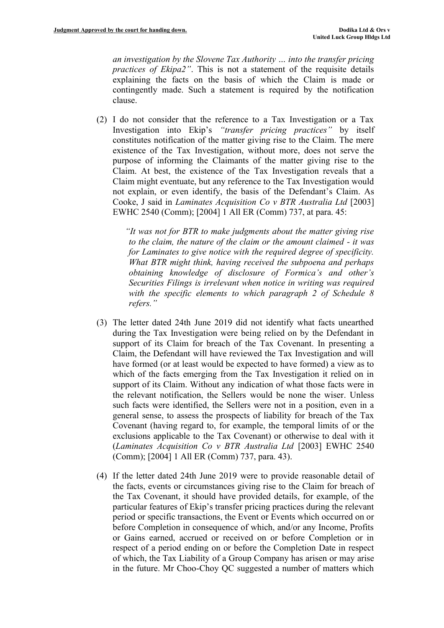*an investigation by the Slovene Tax Authority … into the transfer pricing practices of Ekipa2"*. This is not a statement of the requisite details explaining the facts on the basis of which the Claim is made or contingently made. Such a statement is required by the notification clause.

(2) I do not consider that the reference to a Tax Investigation or a Tax Investigation into Ekip's *"transfer pricing practices"* by itself constitutes notification of the matter giving rise to the Claim. The mere existence of the Tax Investigation, without more, does not serve the purpose of informing the Claimants of the matter giving rise to the Claim. At best, the existence of the Tax Investigation reveals that a Claim might eventuate, but any reference to the Tax Investigation would not explain, or even identify, the basis of the Defendant's Claim. As Cooke, J said in *Laminates Acquisition Co v BTR Australia Ltd* [2003] EWHC 2540 (Comm); [2004] 1 All ER (Comm) 737, at para. 45:

> *"It was not for BTR to make judgments about the matter giving rise to the claim, the nature of the claim or the amount claimed - it was for Laminates to give notice with the required degree of specificity. What BTR might think, having received the subpoena and perhaps obtaining knowledge of disclosure of Formica's and other's Securities Filings is irrelevant when notice in writing was required with the specific elements to which paragraph 2 of Schedule 8 refers."*

- (3) The letter dated 24th June 2019 did not identify what facts unearthed during the Tax Investigation were being relied on by the Defendant in support of its Claim for breach of the Tax Covenant. In presenting a Claim, the Defendant will have reviewed the Tax Investigation and will have formed (or at least would be expected to have formed) a view as to which of the facts emerging from the Tax Investigation it relied on in support of its Claim. Without any indication of what those facts were in the relevant notification, the Sellers would be none the wiser. Unless such facts were identified, the Sellers were not in a position, even in a general sense, to assess the prospects of liability for breach of the Tax Covenant (having regard to, for example, the temporal limits of or the exclusions applicable to the Tax Covenant) or otherwise to deal with it (*Laminates Acquisition Co v BTR Australia Ltd* [2003] EWHC 2540 (Comm); [2004] 1 All ER (Comm) 737, para. 43).
- (4) If the letter dated 24th June 2019 were to provide reasonable detail of the facts, events or circumstances giving rise to the Claim for breach of the Tax Covenant, it should have provided details, for example, of the particular features of Ekip's transfer pricing practices during the relevant period or specific transactions, the Event or Events which occurred on or before Completion in consequence of which, and/or any Income, Profits or Gains earned, accrued or received on or before Completion or in respect of a period ending on or before the Completion Date in respect of which, the Tax Liability of a Group Company has arisen or may arise in the future. Mr Choo-Choy QC suggested a number of matters which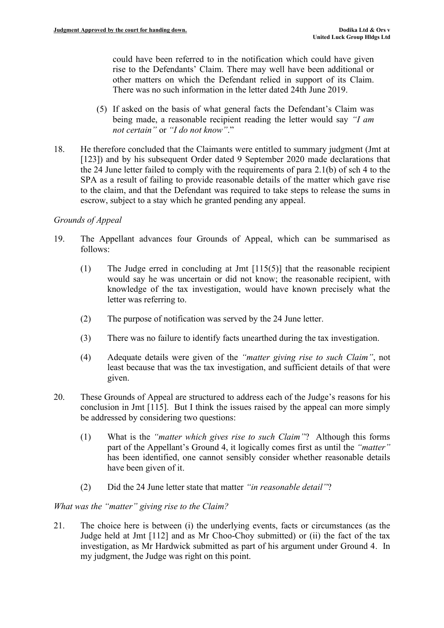could have been referred to in the notification which could have given rise to the Defendants' Claim. There may well have been additional or other matters on which the Defendant relied in support of its Claim. There was no such information in the letter dated 24th June 2019.

- (5) If asked on the basis of what general facts the Defendant's Claim was being made, a reasonable recipient reading the letter would say *"I am not certain"* or *"I do not know"*."
- 18. He therefore concluded that the Claimants were entitled to summary judgment (Jmt at [123]) and by his subsequent Order dated 9 September 2020 made declarations that the 24 June letter failed to comply with the requirements of para 2.1(b) of sch 4 to the SPA as a result of failing to provide reasonable details of the matter which gave rise to the claim, and that the Defendant was required to take steps to release the sums in escrow, subject to a stay which he granted pending any appeal.

### *Grounds of Appeal*

- 19. The Appellant advances four Grounds of Appeal, which can be summarised as follows:
	- (1) The Judge erred in concluding at Jmt [115(5)] that the reasonable recipient would say he was uncertain or did not know; the reasonable recipient, with knowledge of the tax investigation, would have known precisely what the letter was referring to.
	- (2) The purpose of notification was served by the 24 June letter.
	- (3) There was no failure to identify facts unearthed during the tax investigation.
	- (4) Adequate details were given of the *"matter giving rise to such Claim"*, not least because that was the tax investigation, and sufficient details of that were given.
- 20. These Grounds of Appeal are structured to address each of the Judge's reasons for his conclusion in Jmt [115]. But I think the issues raised by the appeal can more simply be addressed by considering two questions:
	- (1) What is the *"matter which gives rise to such Claim"*? Although this forms part of the Appellant's Ground 4, it logically comes first as until the *"matter"* has been identified, one cannot sensibly consider whether reasonable details have been given of it.
	- (2) Did the 24 June letter state that matter *"in reasonable detail"*?

### *What was the "matter" giving rise to the Claim?*

21. The choice here is between (i) the underlying events, facts or circumstances (as the Judge held at Jmt [112] and as Mr Choo-Choy submitted) or (ii) the fact of the tax investigation, as Mr Hardwick submitted as part of his argument under Ground 4. In my judgment, the Judge was right on this point.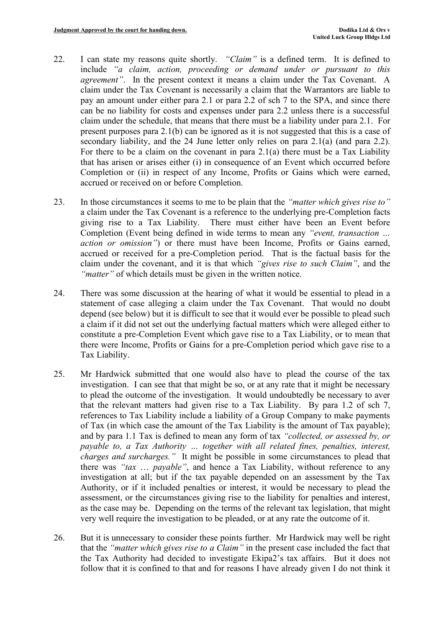- 22. I can state my reasons quite shortly. *"Claim"* is a defined term. It is defined to include *"a claim, action, proceeding or demand under or pursuant to this agreement*". In the present context it means a claim under the Tax Covenant. A claim under the Tax Covenant is necessarily a claim that the Warrantors are liable to pay an amount under either para 2.1 or para 2.2 of sch 7 to the SPA, and since there can be no liability for costs and expenses under para 2.2 unless there is a successful claim under the schedule, that means that there must be a liability under para 2.1. For present purposes para 2.1(b) can be ignored as it is not suggested that this is a case of secondary liability, and the 24 June letter only relies on para 2.1(a) (and para 2.2). For there to be a claim on the covenant in para 2.1(a) there must be a Tax Liability that has arisen or arises either (i) in consequence of an Event which occurred before Completion or (ii) in respect of any Income, Profits or Gains which were earned, accrued or received on or before Completion.
- 23. In those circumstances it seems to me to be plain that the *"matter which gives rise to"* a claim under the Tax Covenant is a reference to the underlying pre-Completion facts giving rise to a Tax Liability. There must either have been an Event before Completion (Event being defined in wide terms to mean any *"event, transaction … action or omission"*) or there must have been Income, Profits or Gains earned, accrued or received for a pre-Completion period. That is the factual basis for the claim under the covenant, and it is that which *"gives rise to such Claim"*, and the *"matter"* of which details must be given in the written notice.
- 24. There was some discussion at the hearing of what it would be essential to plead in a statement of case alleging a claim under the Tax Covenant. That would no doubt depend (see below) but it is difficult to see that it would ever be possible to plead such a claim if it did not set out the underlying factual matters which were alleged either to constitute a pre-Completion Event which gave rise to a Tax Liability, or to mean that there were Income, Profits or Gains for a pre-Completion period which gave rise to a Tax Liability.
- 25. Mr Hardwick submitted that one would also have to plead the course of the tax investigation. I can see that that might be so, or at any rate that it might be necessary to plead the outcome of the investigation. It would undoubtedly be necessary to aver that the relevant matters had given rise to a Tax Liability. By para 1.2 of sch 7, references to Tax Liability include a liability of a Group Company to make payments of Tax (in which case the amount of the Tax Liability is the amount of Tax payable); and by para 1.1 Tax is defined to mean any form of tax *"collected, or assessed by, or payable to, a Tax Authority … together with all related fines, penalties, interest, charges and surcharges."* It might be possible in some circumstances to plead that there was *"tax* … *payable"*, and hence a Tax Liability, without reference to any investigation at all; but if the tax payable depended on an assessment by the Tax Authority, or if it included penalties or interest, it would be necessary to plead the assessment, or the circumstances giving rise to the liability for penalties and interest, as the case may be. Depending on the terms of the relevant tax legislation, that might very well require the investigation to be pleaded, or at any rate the outcome of it.
- 26. But it is unnecessary to consider these points further. Mr Hardwick may well be right that the *"matter which gives rise to a Claim"* in the present case included the fact that the Tax Authority had decided to investigate Ekipa2's tax affairs. But it does not follow that it is confined to that and for reasons I have already given I do not think it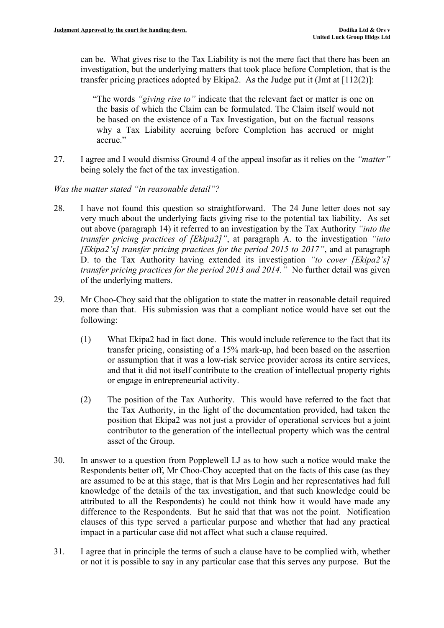can be. What gives rise to the Tax Liability is not the mere fact that there has been an investigation, but the underlying matters that took place before Completion, that is the transfer pricing practices adopted by Ekipa2. As the Judge put it (Jmt at [112(2)]:

"The words *"giving rise to"* indicate that the relevant fact or matter is one on the basis of which the Claim can be formulated. The Claim itself would not be based on the existence of a Tax Investigation, but on the factual reasons why a Tax Liability accruing before Completion has accrued or might accrue."

27. I agree and I would dismiss Ground 4 of the appeal insofar as it relies on the *"matter"* being solely the fact of the tax investigation.

*Was the matter stated "in reasonable detail"?*

- 28. I have not found this question so straightforward. The 24 June letter does not say very much about the underlying facts giving rise to the potential tax liability. As set out above (paragraph 14) it referred to an investigation by the Tax Authority *"into the transfer pricing practices of [Ekipa2]"*, at paragraph A. to the investigation *"into [Ekipa2's] transfer pricing practices for the period 2015 to 2017"*, and at paragraph D. to the Tax Authority having extended its investigation *"to cover [Ekipa2's] transfer pricing practices for the period 2013 and 2014."* No further detail was given of the underlying matters.
- 29. Mr Choo-Choy said that the obligation to state the matter in reasonable detail required more than that. His submission was that a compliant notice would have set out the following:
	- (1) What Ekipa2 had in fact done. This would include reference to the fact that its transfer pricing, consisting of a 15% mark-up, had been based on the assertion or assumption that it was a low-risk service provider across its entire services, and that it did not itself contribute to the creation of intellectual property rights or engage in entrepreneurial activity.
	- (2) The position of the Tax Authority. This would have referred to the fact that the Tax Authority, in the light of the documentation provided, had taken the position that Ekipa2 was not just a provider of operational services but a joint contributor to the generation of the intellectual property which was the central asset of the Group.
- 30. In answer to a question from Popplewell LJ as to how such a notice would make the Respondents better off, Mr Choo-Choy accepted that on the facts of this case (as they are assumed to be at this stage, that is that Mrs Login and her representatives had full knowledge of the details of the tax investigation, and that such knowledge could be attributed to all the Respondents) he could not think how it would have made any difference to the Respondents. But he said that that was not the point. Notification clauses of this type served a particular purpose and whether that had any practical impact in a particular case did not affect what such a clause required.
- 31. I agree that in principle the terms of such a clause have to be complied with, whether or not it is possible to say in any particular case that this serves any purpose. But the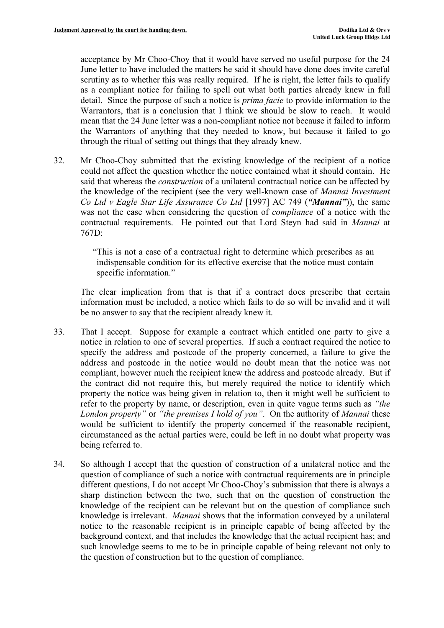acceptance by Mr Choo-Choy that it would have served no useful purpose for the 24 June letter to have included the matters he said it should have done does invite careful scrutiny as to whether this was really required. If he is right, the letter fails to qualify as a compliant notice for failing to spell out what both parties already knew in full detail. Since the purpose of such a notice is *prima facie* to provide information to the Warrantors, that is a conclusion that I think we should be slow to reach. It would mean that the 24 June letter was a non-compliant notice not because it failed to inform the Warrantors of anything that they needed to know, but because it failed to go through the ritual of setting out things that they already knew.

32. Mr Choo-Choy submitted that the existing knowledge of the recipient of a notice could not affect the question whether the notice contained what it should contain. He said that whereas the *construction* of a unilateral contractual notice can be affected by the knowledge of the recipient (see the very well-known case of *Mannai Investment Co Ltd v Eagle Star Life Assurance Co Ltd* [1997] AC 749 (*"Mannai"*)), the same was not the case when considering the question of *compliance* of a notice with the contractual requirements. He pointed out that Lord Steyn had said in *Mannai* at 767D:

> "This is not a case of a contractual right to determine which prescribes as an indispensable condition for its effective exercise that the notice must contain specific information."

The clear implication from that is that if a contract does prescribe that certain information must be included, a notice which fails to do so will be invalid and it will be no answer to say that the recipient already knew it.

- 33. That I accept. Suppose for example a contract which entitled one party to give a notice in relation to one of several properties. If such a contract required the notice to specify the address and postcode of the property concerned, a failure to give the address and postcode in the notice would no doubt mean that the notice was not compliant, however much the recipient knew the address and postcode already. But if the contract did not require this, but merely required the notice to identify which property the notice was being given in relation to, then it might well be sufficient to refer to the property by name, or description, even in quite vague terms such as *"the London property"* or *"the premises I hold of you"*. On the authority of *Mannai* these would be sufficient to identify the property concerned if the reasonable recipient, circumstanced as the actual parties were, could be left in no doubt what property was being referred to.
- 34. So although I accept that the question of construction of a unilateral notice and the question of compliance of such a notice with contractual requirements are in principle different questions, I do not accept Mr Choo-Choy's submission that there is always a sharp distinction between the two, such that on the question of construction the knowledge of the recipient can be relevant but on the question of compliance such knowledge is irrelevant. *Mannai* shows that the information conveyed by a unilateral notice to the reasonable recipient is in principle capable of being affected by the background context, and that includes the knowledge that the actual recipient has; and such knowledge seems to me to be in principle capable of being relevant not only to the question of construction but to the question of compliance.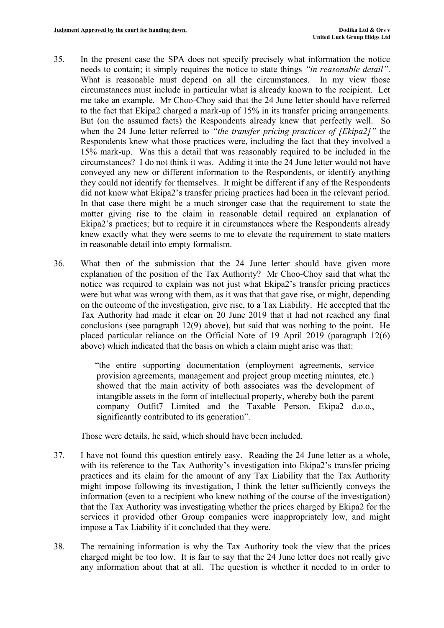- 35. In the present case the SPA does not specify precisely what information the notice needs to contain; it simply requires the notice to state things *"in reasonable detail"*. What is reasonable must depend on all the circumstances. In my view those circumstances must include in particular what is already known to the recipient. Let me take an example. Mr Choo-Choy said that the 24 June letter should have referred to the fact that Ekipa2 charged a mark-up of 15% in its transfer pricing arrangements. But (on the assumed facts) the Respondents already knew that perfectly well. So when the 24 June letter referred to *"the transfer pricing practices of [Ekipa2]"* the Respondents knew what those practices were, including the fact that they involved a 15% mark-up. Was this a detail that was reasonably required to be included in the circumstances? I do not think it was. Adding it into the 24 June letter would not have conveyed any new or different information to the Respondents, or identify anything they could not identify for themselves. It might be different if any of the Respondents did not know what Ekipa2's transfer pricing practices had been in the relevant period. In that case there might be a much stronger case that the requirement to state the matter giving rise to the claim in reasonable detail required an explanation of Ekipa2's practices; but to require it in circumstances where the Respondents already knew exactly what they were seems to me to elevate the requirement to state matters in reasonable detail into empty formalism.
- 36. What then of the submission that the 24 June letter should have given more explanation of the position of the Tax Authority? Mr Choo-Choy said that what the notice was required to explain was not just what Ekipa2's transfer pricing practices were but what was wrong with them, as it was that that gave rise, or might, depending on the outcome of the investigation, give rise, to a Tax Liability. He accepted that the Tax Authority had made it clear on 20 June 2019 that it had not reached any final conclusions (see paragraph 12(9) above), but said that was nothing to the point. He placed particular reliance on the Official Note of 19 April 2019 (paragraph 12(6) above) which indicated that the basis on which a claim might arise was that:

"the entire supporting documentation (employment agreements, service provision agreements, management and project group meeting minutes, etc.) showed that the main activity of both associates was the development of intangible assets in the form of intellectual property, whereby both the parent company Outfit7 Limited and the Taxable Person, Ekipa2 d.o.o., significantly contributed to its generation".

Those were details, he said, which should have been included.

- 37. I have not found this question entirely easy. Reading the 24 June letter as a whole, with its reference to the Tax Authority's investigation into Ekipa2's transfer pricing practices and its claim for the amount of any Tax Liability that the Tax Authority might impose following its investigation, I think the letter sufficiently conveys the information (even to a recipient who knew nothing of the course of the investigation) that the Tax Authority was investigating whether the prices charged by Ekipa2 for the services it provided other Group companies were inappropriately low, and might impose a Tax Liability if it concluded that they were.
- 38. The remaining information is why the Tax Authority took the view that the prices charged might be too low. It is fair to say that the 24 June letter does not really give any information about that at all. The question is whether it needed to in order to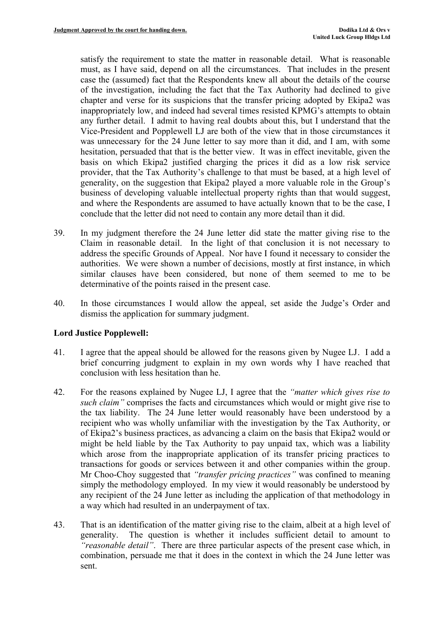satisfy the requirement to state the matter in reasonable detail. What is reasonable must, as I have said, depend on all the circumstances. That includes in the present case the (assumed) fact that the Respondents knew all about the details of the course of the investigation, including the fact that the Tax Authority had declined to give chapter and verse for its suspicions that the transfer pricing adopted by Ekipa2 was inappropriately low, and indeed had several times resisted KPMG's attempts to obtain any further detail. I admit to having real doubts about this, but I understand that the Vice-President and Popplewell LJ are both of the view that in those circumstances it was unnecessary for the 24 June letter to say more than it did, and I am, with some hesitation, persuaded that that is the better view. It was in effect inevitable, given the basis on which Ekipa2 justified charging the prices it did as a low risk service provider, that the Tax Authority's challenge to that must be based, at a high level of generality, on the suggestion that Ekipa2 played a more valuable role in the Group's business of developing valuable intellectual property rights than that would suggest, and where the Respondents are assumed to have actually known that to be the case, I conclude that the letter did not need to contain any more detail than it did.

- 39. In my judgment therefore the 24 June letter did state the matter giving rise to the Claim in reasonable detail. In the light of that conclusion it is not necessary to address the specific Grounds of Appeal. Nor have I found it necessary to consider the authorities. We were shown a number of decisions, mostly at first instance, in which similar clauses have been considered, but none of them seemed to me to be determinative of the points raised in the present case.
- 40. In those circumstances I would allow the appeal, set aside the Judge's Order and dismiss the application for summary judgment.

### **Lord Justice Popplewell:**

- 41. I agree that the appeal should be allowed for the reasons given by Nugee LJ. I add a brief concurring judgment to explain in my own words why I have reached that conclusion with less hesitation than he.
- 42. For the reasons explained by Nugee LJ, I agree that the *"matter which gives rise to such claim"* comprises the facts and circumstances which would or might give rise to the tax liability. The 24 June letter would reasonably have been understood by a recipient who was wholly unfamiliar with the investigation by the Tax Authority, or of Ekipa2's business practices, as advancing a claim on the basis that Ekipa2 would or might be held liable by the Tax Authority to pay unpaid tax, which was a liability which arose from the inappropriate application of its transfer pricing practices to transactions for goods or services between it and other companies within the group. Mr Choo-Choy suggested that *"transfer pricing practices"* was confined to meaning simply the methodology employed. In my view it would reasonably be understood by any recipient of the 24 June letter as including the application of that methodology in a way which had resulted in an underpayment of tax.
- 43. That is an identification of the matter giving rise to the claim, albeit at a high level of generality. The question is whether it includes sufficient detail to amount to *"reasonable detail"*. There are three particular aspects of the present case which, in combination, persuade me that it does in the context in which the 24 June letter was sent.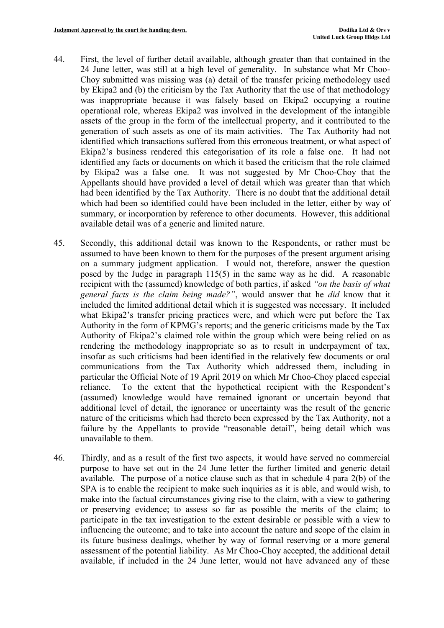- 44. First, the level of further detail available, although greater than that contained in the 24 June letter, was still at a high level of generality. In substance what Mr Choo-Choy submitted was missing was (a) detail of the transfer pricing methodology used by Ekipa2 and (b) the criticism by the Tax Authority that the use of that methodology was inappropriate because it was falsely based on Ekipa2 occupying a routine operational role, whereas Ekipa2 was involved in the development of the intangible assets of the group in the form of the intellectual property, and it contributed to the generation of such assets as one of its main activities. The Tax Authority had not identified which transactions suffered from this erroneous treatment, or what aspect of Ekipa2's business rendered this categorisation of its role a false one. It had not identified any facts or documents on which it based the criticism that the role claimed by Ekipa2 was a false one. It was not suggested by Mr Choo-Choy that the Appellants should have provided a level of detail which was greater than that which had been identified by the Tax Authority. There is no doubt that the additional detail which had been so identified could have been included in the letter, either by way of summary, or incorporation by reference to other documents. However, this additional available detail was of a generic and limited nature.
- 45. Secondly, this additional detail was known to the Respondents, or rather must be assumed to have been known to them for the purposes of the present argument arising on a summary judgment application. I would not, therefore, answer the question posed by the Judge in paragraph 115(5) in the same way as he did. A reasonable recipient with the (assumed) knowledge of both parties, if asked *"on the basis of what general facts is the claim being made?"*, would answer that he *did* know that it included the limited additional detail which it is suggested was necessary. It included what Ekipa2's transfer pricing practices were, and which were put before the Tax Authority in the form of KPMG's reports; and the generic criticisms made by the Tax Authority of Ekipa2's claimed role within the group which were being relied on as rendering the methodology inappropriate so as to result in underpayment of tax, insofar as such criticisms had been identified in the relatively few documents or oral communications from the Tax Authority which addressed them, including in particular the Official Note of 19 April 2019 on which Mr Choo-Choy placed especial reliance. To the extent that the hypothetical recipient with the Respondent's (assumed) knowledge would have remained ignorant or uncertain beyond that additional level of detail, the ignorance or uncertainty was the result of the generic nature of the criticisms which had thereto been expressed by the Tax Authority, not a failure by the Appellants to provide "reasonable detail", being detail which was unavailable to them.
- 46. Thirdly, and as a result of the first two aspects, it would have served no commercial purpose to have set out in the 24 June letter the further limited and generic detail available. The purpose of a notice clause such as that in schedule 4 para 2(b) of the SPA is to enable the recipient to make such inquiries as it is able, and would wish, to make into the factual circumstances giving rise to the claim, with a view to gathering or preserving evidence; to assess so far as possible the merits of the claim; to participate in the tax investigation to the extent desirable or possible with a view to influencing the outcome; and to take into account the nature and scope of the claim in its future business dealings, whether by way of formal reserving or a more general assessment of the potential liability. As Mr Choo-Choy accepted, the additional detail available, if included in the 24 June letter, would not have advanced any of these